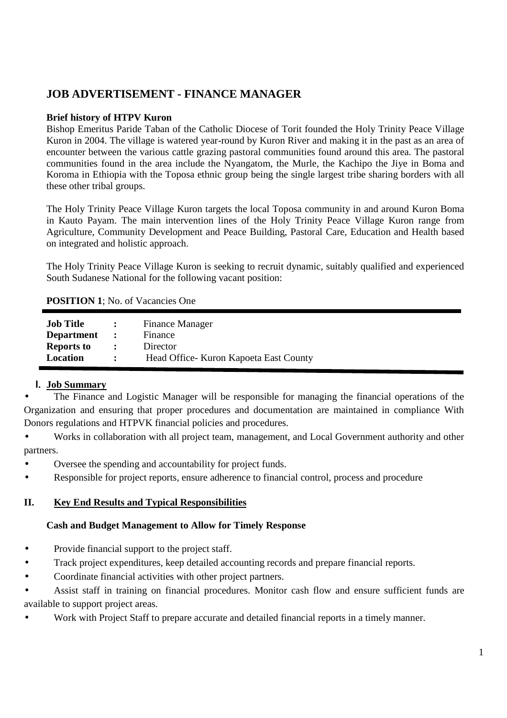# **JOB ADVERTISEMENT - FINANCE MANAGER**

#### **Brief history of HTPV Kuron**

Bishop Emeritus Paride Taban of the Catholic Diocese of Torit founded the Holy Trinity Peace Village Kuron in 2004. The village is watered year-round by Kuron River and making it in the past as an area of encounter between the various cattle grazing pastoral communities found around this area. The pastoral communities found in the area include the Nyangatom, the Murle, the Kachipo the Jiye in Boma and Koroma in Ethiopia with the Toposa ethnic group being the single largest tribe sharing borders with all these other tribal groups.

The Holy Trinity Peace Village Kuron targets the local Toposa community in and around Kuron Boma in Kauto Payam. The main intervention lines of the Holy Trinity Peace Village Kuron range from Agriculture, Community Development and Peace Building, Pastoral Care, Education and Health based on integrated and holistic approach.

The Holy Trinity Peace Village Kuron is seeking to recruit dynamic, suitably qualified and experienced South Sudanese National for the following vacant position:

#### **POSITION 1**; No. of Vacancies One

| <b>Job Title</b><br><b>Department</b> | $\sim$ 1.000 $\sim$  | <b>Finance Manager</b><br>Finance       |
|---------------------------------------|----------------------|-----------------------------------------|
| <b>Reports to</b>                     | $\mathbf{r}$         | Director                                |
| Location                              | $\ddot{\phantom{0}}$ | Head Office - Kuron Kapoeta East County |

### **I. Job Summary**

• The Finance and Logistic Manager will be responsible for managing the financial operations of the Organization and ensuring that proper procedures and documentation are maintained in compliance With Donors regulations and HTPVK financial policies and procedures.

• Works in collaboration with all project team, management, and Local Government authority and other partners.

- Oversee the spending and accountability for project funds.
- Responsible for project reports, ensure adherence to financial control, process and procedure

### **II. Key End Results and Typical Responsibilities**

#### **Cash and Budget Management to Allow for Timely Response**

- Provide financial support to the project staff.
- Track project expenditures, keep detailed accounting records and prepare financial reports.
- Coordinate financial activities with other project partners.

• Assist staff in training on financial procedures. Monitor cash flow and ensure sufficient funds are available to support project areas.

• Work with Project Staff to prepare accurate and detailed financial reports in a timely manner.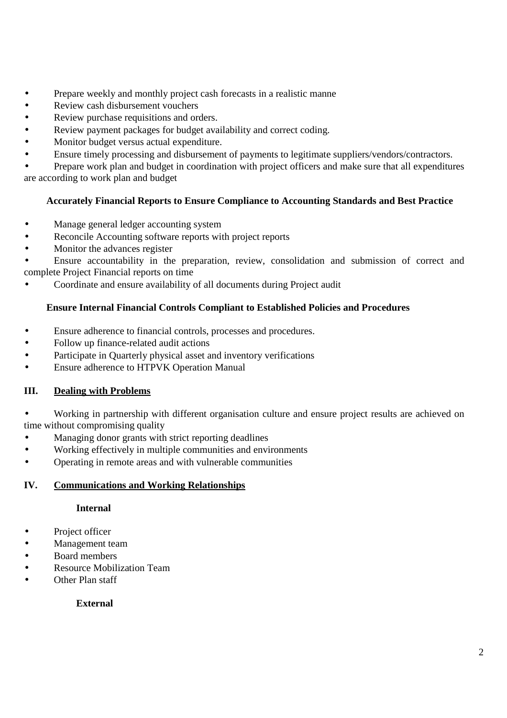- Prepare weekly and monthly project cash forecasts in a realistic manne
- Review cash disbursement vouchers
- Review purchase requisitions and orders.
- Review payment packages for budget availability and correct coding.
- Monitor budget versus actual expenditure.
- Ensure timely processing and disbursement of payments to legitimate suppliers/vendors/contractors.

• Prepare work plan and budget in coordination with project officers and make sure that all expenditures are according to work plan and budget

## **Accurately Financial Reports to Ensure Compliance to Accounting Standards and Best Practice**

- Manage general ledger accounting system
- Reconcile Accounting software reports with project reports
- Monitor the advances register

• Ensure accountability in the preparation, review, consolidation and submission of correct and complete Project Financial reports on time

• Coordinate and ensure availability of all documents during Project audit

## **Ensure Internal Financial Controls Compliant to Established Policies and Procedures**

- Ensure adherence to financial controls, processes and procedures.
- Follow up finance-related audit actions
- Participate in Quarterly physical asset and inventory verifications
- Ensure adherence to HTPVK Operation Manual

### **III. Dealing with Problems**

• Working in partnership with different organisation culture and ensure project results are achieved on time without compromising quality

- Managing donor grants with strict reporting deadlines
- Working effectively in multiple communities and environments
- Operating in remote areas and with vulnerable communities

## **IV. Communications and Working Relationships**

### **Internal**

- Project officer
- Management team
- Board members
- Resource Mobilization Team
- Other Plan staff

### **External**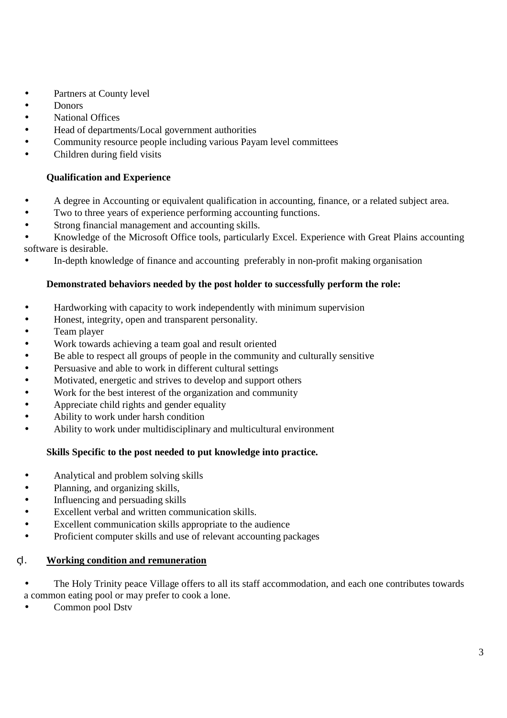- Partners at County level
- Donors
- National Offices
- Head of departments/Local government authorities
- Community resource people including various Payam level committees
- Children during field visits

## **Qualification and Experience**

- A degree in Accounting or equivalent qualification in accounting, finance, or a related subject area.
- Two to three years of experience performing accounting functions.
- Strong financial management and accounting skills.

• Knowledge of the Microsoft Office tools, particularly Excel. Experience with Great Plains accounting software is desirable.

• In-depth knowledge of finance and accounting preferably in non-profit making organisation

### **Demonstrated behaviors needed by the post holder to successfully perform the role:**

- Hardworking with capacity to work independently with minimum supervision
- Honest, integrity, open and transparent personality.
- Team player
- Work towards achieving a team goal and result oriented
- Be able to respect all groups of people in the community and culturally sensitive
- Persuasive and able to work in different cultural settings
- Motivated, energetic and strives to develop and support others
- Work for the best interest of the organization and community
- Appreciate child rights and gender equality
- Ability to work under harsh condition
- Ability to work under multidisciplinary and multicultural environment

## **Skills Specific to the post needed to put knowledge into practice.**

- Analytical and problem solving skills
- Planning, and organizing skills,
- Influencing and persuading skills
- Excellent verbal and written communication skills.
- Excellent communication skills appropriate to the audience
- Proficient computer skills and use of relevant accounting packages

### ςΙ. **Working condition and remuneration**

- The Holy Trinity peace Village offers to all its staff accommodation, and each one contributes towards a common eating pool or may prefer to cook a lone.
- Common pool Dstv